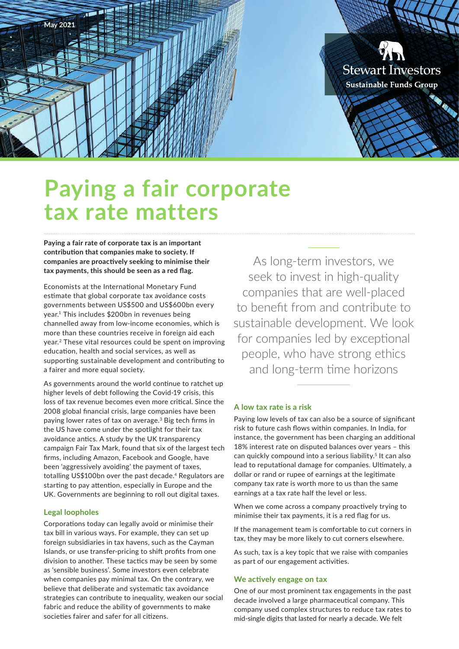

# **Paying a fair corporate tax rate matters**

**Paying a fair rate of corporate tax is an important contribution that companies make to society. If companies are proactively seeking to minimise their tax payments, this should be seen as a red flag.**

Economists at the International Monetary Fund estimate that global corporate tax avoidance costs governments between US\$500 and US\$600bn every year.1 This includes \$200bn in revenues being channelled away from low-income economies, which is more than these countries receive in foreign aid each year.2 These vital resources could be spent on improving education, health and social services, as well as supporting sustainable development and contributing to a fairer and more equal society.

As governments around the world continue to ratchet up higher levels of debt following the Covid-19 crisis, this loss of tax revenue becomes even more critical. Since the 2008 global financial crisis, large companies have been paying lower rates of tax on average.3 Big tech firms in the US have come under the spotlight for their tax avoidance antics. A study by the UK transparency campaign Fair Tax Mark, found that six of the largest tech firms, including Amazon, Facebook and Google, have been 'aggressively avoiding' the payment of taxes, totalling US\$100bn over the past decade.<sup>4</sup> Regulators are starting to pay attention, especially in Europe and the UK. Governments are beginning to roll out digital taxes.

#### **Legal loopholes**

Corporations today can legally avoid or minimise their tax bill in various ways. For example, they can set up foreign subsidiaries in tax havens, such as the Cayman Islands, or use transfer-pricing to shift profits from one division to another. These tactics may be seen by some as 'sensible business'. Some investors even celebrate when companies pay minimal tax. On the contrary, we believe that deliberate and systematic tax avoidance strategies can contribute to inequality, weaken our social fabric and reduce the ability of governments to make societies fairer and safer for all citizens.

As long-term investors, we seek to invest in high-quality companies that are well-placed to benefit from and contribute to sustainable development. We look for companies led by exceptional people, who have strong ethics and long-term time horizons

#### **A low tax rate is a risk**

Paying low levels of tax can also be a source of significant risk to future cash flows within companies. In India, for instance, the government has been charging an additional 18% interest rate on disputed balances over years – this can quickly compound into a serious liability.<sup>5</sup> It can also lead to reputational damage for companies. Ultimately, a dollar or rand or rupee of earnings at the legitimate company tax rate is worth more to us than the same earnings at a tax rate half the level or less.

When we come across a company proactively trying to minimise their tax payments, it is a red flag for us.

If the management team is comfortable to cut corners in tax, they may be more likely to cut corners elsewhere.

As such, tax is a key topic that we raise with companies as part of our engagement activities.

#### **We actively engage on tax**

One of our most prominent tax engagements in the past decade involved a large pharmaceutical company. This company used complex structures to reduce tax rates to mid-single digits that lasted for nearly a decade. We felt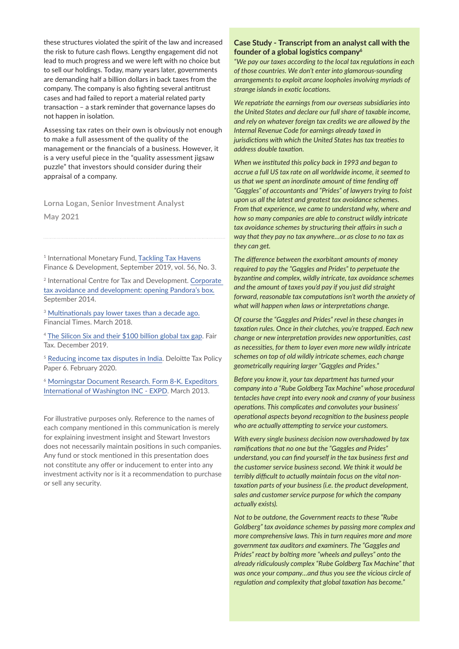these structures violated the spirit of the law and increased the risk to future cash flows. Lengthy engagement did not lead to much progress and we were left with no choice but to sell our holdings. Today, many years later, governments are demanding half a billion dollars in back taxes from the company. The company is also fighting several antitrust cases and had failed to report a material related party transaction – a stark reminder that governance lapses do not happen in isolation.

Assessing tax rates on their own is obviously not enough to make a full assessment of the quality of the management or the financials of a business. However, it is a very useful piece in the "quality assessment jigsaw puzzle" that investors should consider during their appraisal of a company.

**Lorna Logan, Senior Investment Analyst May 2021**

<sup>1</sup> International Monetary Fund, [Tackling Tax Havens](https://www.imf.org/external/pubs/ft/fandd/2019/09/tackling-global-tax-havens-shaxon.htm) Finance & Development, September 2019, vol. 56, No. 3.

2 International Centre for Tax and Development. [Corporate](https://www.ictd.ac/blog/corporate-tax-avoidance-and-development-opening-pandora-s-box/)  [tax avoidance and development: opening Pandora's box](https://www.ictd.ac/blog/corporate-tax-avoidance-and-development-opening-pandora-s-box/)*.* September 2014.

<sup>3</sup> [Multinationals pay lower taxes than a decade ago.](https://www.ft.com/content/2b356956-17fc-11e8-9376-4a6390addb44) Financial Times. March 2018.

<sup>4</sup> [The Silicon Six and their \\$100 billion global tax gap](https://fairtaxmark.net/wp-content/uploads/2019/12/Silicon-Six-Report-5-12-19.pdf). Fair Tax. December 2019.

<sup>5</sup> [Reducing income tax disputes in India.](https://www2.deloitte.com/content/dam/Deloitte/in/Documents/tax/in-tax-reducing-income-tax-disputes-in-india-noexp.pdf) Deloitte Tax Policy Paper 6. February 2020.

<sup>6</sup> Morningstar Document Research. Form 8-K. Expeditors [International of Washington INC - EXPD.](https://www.stjic.com/wp-content/uploads/2013/10/EXPD.8K.2013.03.04.pdf) March 2013.

For illustrative purposes only. Reference to the names of each company mentioned in this communication is merely for explaining investment insight and Stewart Investors does not necessarily maintain positions in such companies. Any fund or stock mentioned in this presentation does not constitute any offer or inducement to enter into any investment activity nor is it a recommendation to purchase or sell any security.

#### **Case Study - Transcript from an analyst call with the founder of a global logistics company<sup>6</sup>**

*"We pay our taxes according to the local tax regulations in each of those countries. We don't enter into glamorous-sounding arrangements to exploit arcane loopholes involving myriads of strange islands in exotic locations.*

*We repatriate the earnings from our overseas subsidiaries into the United States and declare our full share of taxable income, and rely on whatever foreign tax credits we are allowed by the Internal Revenue Code for earnings already taxed in jurisdictions with which the United States has tax treaties to address double taxation.* 

*When we instituted this policy back in 1993 and began to accrue a full US tax rate on all worldwide income, it seemed to us that we spent an inordinate amount of time fending off "Gaggles" of accountants and "Prides" of lawyers trying to foist upon us all the latest and greatest tax avoidance schemes. From that experience, we came to understand why, where and how so many companies are able to construct wildly intricate tax avoidance schemes by structuring their affairs in such a way that they pay no tax anywhere…or as close to no tax as they can get.* 

*The difference between the exorbitant amounts of money required to pay the "Gaggles and Prides" to perpetuate the byzantine and complex, wildly intricate, tax avoidance schemes and the amount of taxes you'd pay if you just did straight forward, reasonable tax computations isn't worth the anxiety of what will happen when laws or interpretations change.* 

*Of course the "Gaggles and Prides" revel in these changes in taxation rules. Once in their clutches, you're trapped. Each new change or new interpretation provides new opportunities, cast as necessities, for them to layer even more new wildly intricate schemes on top of old wildly intricate schemes, each change geometrically requiring larger "Gaggles and Prides."* 

*Before you know it, your tax department has turned your company into a "Rube Goldberg Tax Machine" whose procedural tentacles have crept into every nook and cranny of your business operations. This complicates and convolutes your business' operational aspects beyond recognition to the business people who are actually attempting to service your customers.* 

*With every single business decision now overshadowed by tax ramifications that no one but the "Gaggles and Prides" understand, you can find yourself in the tax business first and the customer service business second. We think it would be terribly difficult to actually maintain focus on the vital nontaxation parts of your business (i.e. the product development, sales and customer service purpose for which the company actually exists).* 

*Not to be outdone, the Government reacts to these "Rube Goldberg" tax avoidance schemes by passing more complex and more comprehensive laws. This in turn requires more and more government tax auditors and examiners. The "Gaggles and Prides" react by bolting more "wheels and pulleys" onto the already ridiculously complex "Rube Goldberg Tax Machine" that was once your company…and thus you see the vicious circle of regulation and complexity that global taxation has become."*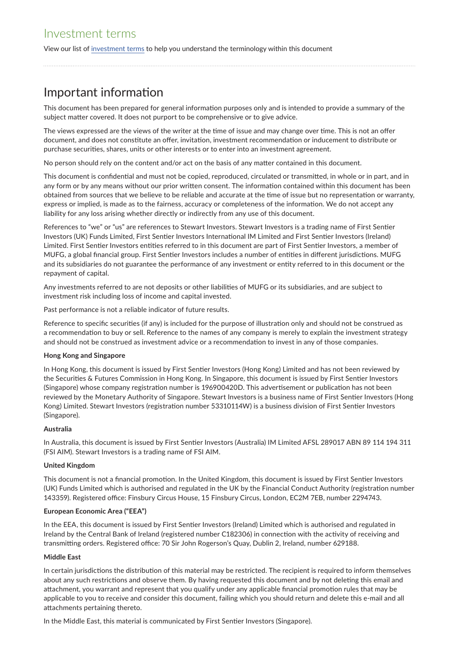View our list of [investment terms](https://www.stewartinvestors.com/all/insights/investment-terms.html) to help you understand the terminology within this document

# Important information

This document has been prepared for general information purposes only and is intended to provide a summary of the subject matter covered. It does not purport to be comprehensive or to give advice.

The views expressed are the views of the writer at the time of issue and may change over time. This is not an offer document, and does not constitute an offer, invitation, investment recommendation or inducement to distribute or purchase securities, shares, units or other interests or to enter into an investment agreement.

No person should rely on the content and/or act on the basis of any matter contained in this document.

This document is confidential and must not be copied, reproduced, circulated or transmitted, in whole or in part, and in any form or by any means without our prior written consent. The information contained within this document has been obtained from sources that we believe to be reliable and accurate at the time of issue but no representation or warranty, express or implied, is made as to the fairness, accuracy or completeness of the information. We do not accept any liability for any loss arising whether directly or indirectly from any use of this document.

References to "we" or "us" are references to Stewart Investors. Stewart Investors is a trading name of First Sentier Investors (UK) Funds Limited, First Sentier Investors International IM Limited and First Sentier Investors (Ireland) Limited. First Sentier Investors entities referred to in this document are part of First Sentier Investors, a member of MUFG, a global financial group. First Sentier Investors includes a number of entities in different jurisdictions. MUFG and its subsidiaries do not guarantee the performance of any investment or entity referred to in this document or the repayment of capital.

Any investments referred to are not deposits or other liabilities of MUFG or its subsidiaries, and are subject to investment risk including loss of income and capital invested.

Past performance is not a reliable indicator of future results.

Reference to specific securities (if any) is included for the purpose of illustration only and should not be construed as a recommendation to buy or sell. Reference to the names of any company is merely to explain the investment strategy and should not be construed as investment advice or a recommendation to invest in any of those companies.

#### **Hong Kong and Singapore**

In Hong Kong, this document is issued by First Sentier Investors (Hong Kong) Limited and has not been reviewed by the Securities & Futures Commission in Hong Kong. In Singapore, this document is issued by First Sentier Investors (Singapore) whose company registration number is 196900420D. This advertisement or publication has not been reviewed by the Monetary Authority of Singapore. Stewart Investors is a business name of First Sentier Investors (Hong Kong) Limited. Stewart Investors (registration number 53310114W) is a business division of First Sentier Investors (Singapore).

#### **Australia**

In Australia, this document is issued by First Sentier Investors (Australia) IM Limited AFSL 289017 ABN 89 114 194 311 (FSI AIM). Stewart Investors is a trading name of FSI AIM.

#### **United Kingdom**

This document is not a financial promotion. In the United Kingdom, this document is issued by First Sentier Investors (UK) Funds Limited which is authorised and regulated in the UK by the Financial Conduct Authority (registration number 143359). Registered office: Finsbury Circus House, 15 Finsbury Circus, London, EC2M 7EB, number 2294743.

#### **European Economic Area ("EEA")**

In the EEA, this document is issued by First Sentier Investors (Ireland) Limited which is authorised and regulated in Ireland by the Central Bank of Ireland (registered number C182306) in connection with the activity of receiving and transmitting orders. Registered office: 70 Sir John Rogerson's Quay, Dublin 2, Ireland, number 629188.

#### **Middle East**

In certain jurisdictions the distribution of this material may be restricted. The recipient is required to inform themselves about any such restrictions and observe them. By having requested this document and by not deleting this email and attachment, you warrant and represent that you qualify under any applicable financial promotion rules that may be applicable to you to receive and consider this document, failing which you should return and delete this e-mail and all attachments pertaining thereto.

In the Middle East, this material is communicated by First Sentier Investors (Singapore).